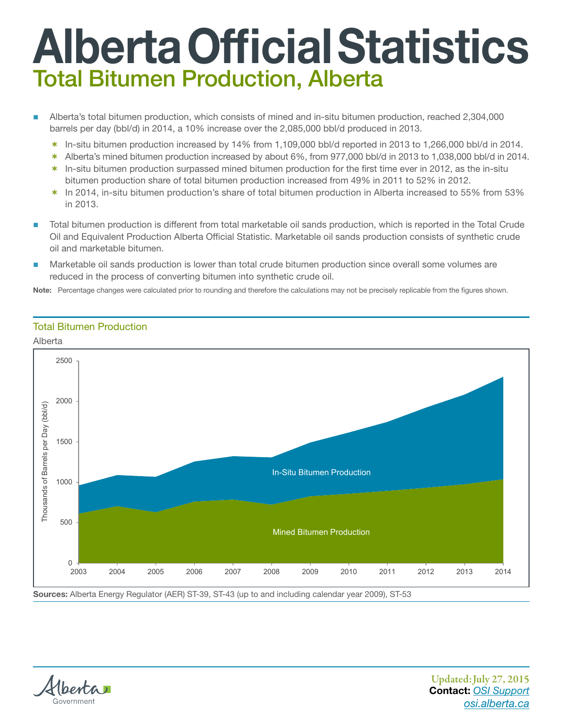## Alberta Official Statistics Total Bitumen Production, Alberta

- Alberta's total bitumen production, which consists of mined and in‑situ bitumen production, reached 2,304,000 barrels per day (bbl/d) in 2014, a 10% increase over the 2,085,000 bbl/d produced in 2013.
	- $*$  In-situ bitumen production increased by 14% from 1,109,000 bbl/d reported in 2013 to 1,266,000 bbl/d in 2014.
	- Alberta's mined bitumen production increased by about 6%, from 977,000 bbl/d in 2013 to 1,038,000 bbl/d in 2014.
	- $*$  In-situ bitumen production surpassed mined bitumen production for the first time ever in 2012, as the in-situ bitumen production share of total bitumen production increased from 49% in 2011 to 52% in 2012.
	- In 2014, in‑situ bitumen production's share of total bitumen production in Alberta increased to 55% from 53% in 2013.
- Total bitumen production is different from total marketable oil sands production, which is reported in the Total Crude Oil and Equivalent Production Alberta Official Statistic. Marketable oil sands production consists of synthetic crude oil and marketable bitumen.
- Marketable oil sands production is lower than total crude bitumen production since overall some volumes are reduced in the process of converting bitumen into synthetic crude oil.

Note: Percentage changes were calculated prior to rounding and therefore the calculations may not be precisely replicable from the figures shown.

## Total Bitumen Production, Total Bitumen Production

## Alberta



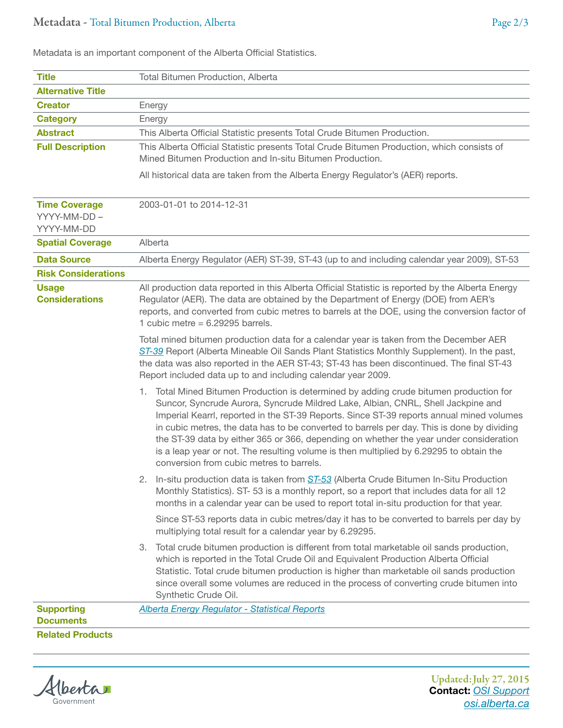Metadata is an important component of the Alberta Official Statistics.

| <b>Title</b>                                      | <b>Total Bitumen Production, Alberta</b>                                                                                                                                                                                                                                                                                                                                                                                                                                                                                                                                                              |
|---------------------------------------------------|-------------------------------------------------------------------------------------------------------------------------------------------------------------------------------------------------------------------------------------------------------------------------------------------------------------------------------------------------------------------------------------------------------------------------------------------------------------------------------------------------------------------------------------------------------------------------------------------------------|
| <b>Alternative Title</b>                          |                                                                                                                                                                                                                                                                                                                                                                                                                                                                                                                                                                                                       |
| <b>Creator</b>                                    | Energy                                                                                                                                                                                                                                                                                                                                                                                                                                                                                                                                                                                                |
| <b>Category</b>                                   | Energy                                                                                                                                                                                                                                                                                                                                                                                                                                                                                                                                                                                                |
| <b>Abstract</b>                                   | This Alberta Official Statistic presents Total Crude Bitumen Production.                                                                                                                                                                                                                                                                                                                                                                                                                                                                                                                              |
| <b>Full Description</b>                           | This Alberta Official Statistic presents Total Crude Bitumen Production, which consists of<br>Mined Bitumen Production and In-situ Bitumen Production.                                                                                                                                                                                                                                                                                                                                                                                                                                                |
|                                                   | All historical data are taken from the Alberta Energy Regulator's (AER) reports.                                                                                                                                                                                                                                                                                                                                                                                                                                                                                                                      |
| <b>Time Coverage</b><br>YYYY-MM-DD-<br>YYYY-MM-DD | 2003-01-01 to 2014-12-31                                                                                                                                                                                                                                                                                                                                                                                                                                                                                                                                                                              |
| <b>Spatial Coverage</b>                           | Alberta                                                                                                                                                                                                                                                                                                                                                                                                                                                                                                                                                                                               |
| <b>Data Source</b>                                | Alberta Energy Regulator (AER) ST-39, ST-43 (up to and including calendar year 2009), ST-53                                                                                                                                                                                                                                                                                                                                                                                                                                                                                                           |
| <b>Risk Considerations</b>                        |                                                                                                                                                                                                                                                                                                                                                                                                                                                                                                                                                                                                       |
| <b>Usage</b><br><b>Considerations</b>             | All production data reported in this Alberta Official Statistic is reported by the Alberta Energy<br>Regulator (AER). The data are obtained by the Department of Energy (DOE) from AER's<br>reports, and converted from cubic metres to barrels at the DOE, using the conversion factor of<br>1 cubic metre = $6.29295$ barrels.                                                                                                                                                                                                                                                                      |
|                                                   | Total mined bitumen production data for a calendar year is taken from the December AER<br>ST-39 Report (Alberta Mineable Oil Sands Plant Statistics Monthly Supplement). In the past,<br>the data was also reported in the AER ST-43; ST-43 has been discontinued. The final ST-43<br>Report included data up to and including calendar year 2009.                                                                                                                                                                                                                                                    |
|                                                   | 1. Total Mined Bitumen Production is determined by adding crude bitumen production for<br>Suncor, Syncrude Aurora, Syncrude Mildred Lake, Albian, CNRL, Shell Jackpine and<br>Imperial Kearrl, reported in the ST-39 Reports. Since ST-39 reports annual mined volumes<br>in cubic metres, the data has to be converted to barrels per day. This is done by dividing<br>the ST-39 data by either 365 or 366, depending on whether the year under consideration<br>is a leap year or not. The resulting volume is then multiplied by 6.29295 to obtain the<br>conversion from cubic metres to barrels. |
|                                                   | In-situ production data is taken from ST-53 (Alberta Crude Bitumen In-Situ Production<br>Monthly Statistics). ST-53 is a monthly report, so a report that includes data for all 12<br>months in a calendar year can be used to report total in-situ production for that year.                                                                                                                                                                                                                                                                                                                         |
|                                                   | Since ST-53 reports data in cubic metres/day it has to be converted to barrels per day by<br>multiplying total result for a calendar year by 6.29295.                                                                                                                                                                                                                                                                                                                                                                                                                                                 |
|                                                   | Total crude bitumen production is different from total marketable oil sands production,<br>3.<br>which is reported in the Total Crude Oil and Equivalent Production Alberta Official<br>Statistic. Total crude bitumen production is higher than marketable oil sands production<br>since overall some volumes are reduced in the process of converting crude bitumen into<br>Synthetic Crude Oil.                                                                                                                                                                                                    |
| <b>Supporting</b><br><b>Documents</b>             | <b>Alberta Energy Regulator - Statistical Reports</b>                                                                                                                                                                                                                                                                                                                                                                                                                                                                                                                                                 |
| <b>Related Products</b>                           |                                                                                                                                                                                                                                                                                                                                                                                                                                                                                                                                                                                                       |